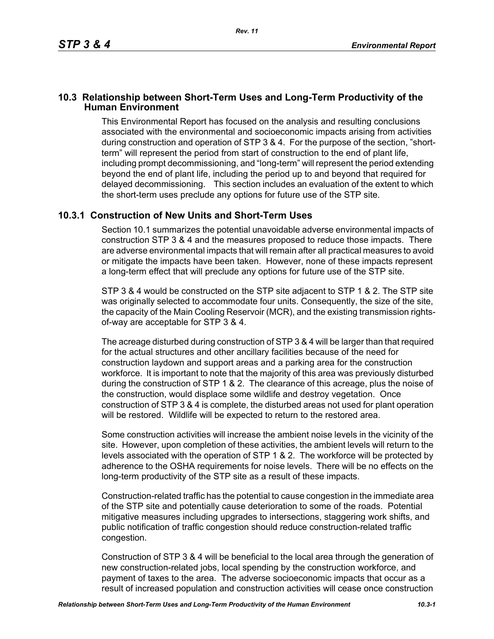## **10.3 Relationship between Short-Term Uses and Long-Term Productivity of the Human Environment**

This Environmental Report has focused on the analysis and resulting conclusions associated with the environmental and socioeconomic impacts arising from activities during construction and operation of STP 3 & 4. For the purpose of the section, "shortterm" will represent the period from start of construction to the end of plant life, including prompt decommissioning, and "long-term" will represent the period extending beyond the end of plant life, including the period up to and beyond that required for delayed decommissioning. This section includes an evaluation of the extent to which the short-term uses preclude any options for future use of the STP site.

## **10.3.1 Construction of New Units and Short-Term Uses**

Section 10.1 summarizes the potential unavoidable adverse environmental impacts of construction STP 3 & 4 and the measures proposed to reduce those impacts. There are adverse environmental impacts that will remain after all practical measures to avoid or mitigate the impacts have been taken. However, none of these impacts represent a long-term effect that will preclude any options for future use of the STP site.

STP 3 & 4 would be constructed on the STP site adjacent to STP 1 & 2. The STP site was originally selected to accommodate four units. Consequently, the size of the site, the capacity of the Main Cooling Reservoir (MCR), and the existing transmission rightsof-way are acceptable for STP 3 & 4.

The acreage disturbed during construction of STP 3 & 4 will be larger than that required for the actual structures and other ancillary facilities because of the need for construction laydown and support areas and a parking area for the construction workforce. It is important to note that the majority of this area was previously disturbed during the construction of STP 1 & 2. The clearance of this acreage, plus the noise of the construction, would displace some wildlife and destroy vegetation. Once construction of STP 3 & 4 is complete, the disturbed areas not used for plant operation will be restored. Wildlife will be expected to return to the restored area.

Some construction activities will increase the ambient noise levels in the vicinity of the site. However, upon completion of these activities, the ambient levels will return to the levels associated with the operation of STP 1 & 2. The workforce will be protected by adherence to the OSHA requirements for noise levels. There will be no effects on the long-term productivity of the STP site as a result of these impacts.

Construction-related traffic has the potential to cause congestion in the immediate area of the STP site and potentially cause deterioration to some of the roads. Potential mitigative measures including upgrades to intersections, staggering work shifts, and public notification of traffic congestion should reduce construction-related traffic congestion.

Construction of STP 3 & 4 will be beneficial to the local area through the generation of new construction-related jobs, local spending by the construction workforce, and payment of taxes to the area. The adverse socioeconomic impacts that occur as a result of increased population and construction activities will cease once construction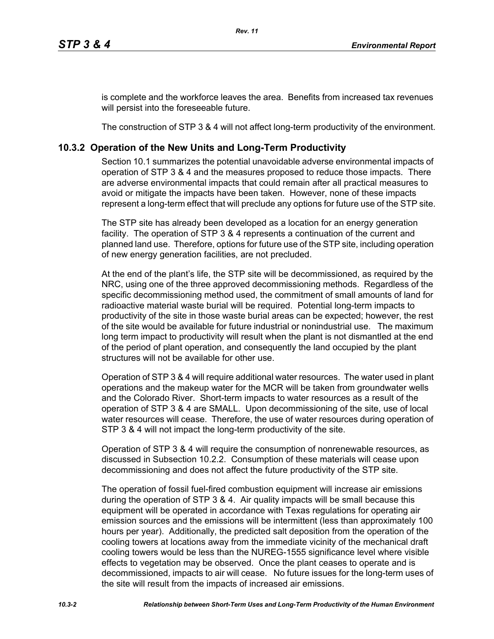is complete and the workforce leaves the area. Benefits from increased tax revenues will persist into the foreseeable future.

The construction of STP 3 & 4 will not affect long-term productivity of the environment.

## **10.3.2 Operation of the New Units and Long-Term Productivity**

Section 10.1 summarizes the potential unavoidable adverse environmental impacts of operation of STP 3 & 4 and the measures proposed to reduce those impacts. There are adverse environmental impacts that could remain after all practical measures to avoid or mitigate the impacts have been taken. However, none of these impacts represent a long-term effect that will preclude any options for future use of the STP site.

The STP site has already been developed as a location for an energy generation facility. The operation of STP 3 & 4 represents a continuation of the current and planned land use. Therefore, options for future use of the STP site, including operation of new energy generation facilities, are not precluded.

At the end of the plant's life, the STP site will be decommissioned, as required by the NRC, using one of the three approved decommissioning methods. Regardless of the specific decommissioning method used, the commitment of small amounts of land for radioactive material waste burial will be required. Potential long-term impacts to productivity of the site in those waste burial areas can be expected; however, the rest of the site would be available for future industrial or nonindustrial use. The maximum long term impact to productivity will result when the plant is not dismantled at the end of the period of plant operation, and consequently the land occupied by the plant structures will not be available for other use.

Operation of STP 3 & 4 will require additional water resources. The water used in plant operations and the makeup water for the MCR will be taken from groundwater wells and the Colorado River. Short-term impacts to water resources as a result of the operation of STP 3 & 4 are SMALL. Upon decommissioning of the site, use of local water resources will cease. Therefore, the use of water resources during operation of STP 3 & 4 will not impact the long-term productivity of the site.

Operation of STP 3 & 4 will require the consumption of nonrenewable resources, as discussed in Subsection 10.2.2. Consumption of these materials will cease upon decommissioning and does not affect the future productivity of the STP site.

The operation of fossil fuel-fired combustion equipment will increase air emissions during the operation of STP 3 & 4. Air quality impacts will be small because this equipment will be operated in accordance with Texas regulations for operating air emission sources and the emissions will be intermittent (less than approximately 100 hours per year). Additionally, the predicted salt deposition from the operation of the cooling towers at locations away from the immediate vicinity of the mechanical draft cooling towers would be less than the NUREG-1555 significance level where visible effects to vegetation may be observed. Once the plant ceases to operate and is decommissioned, impacts to air will cease. No future issues for the long-term uses of the site will result from the impacts of increased air emissions.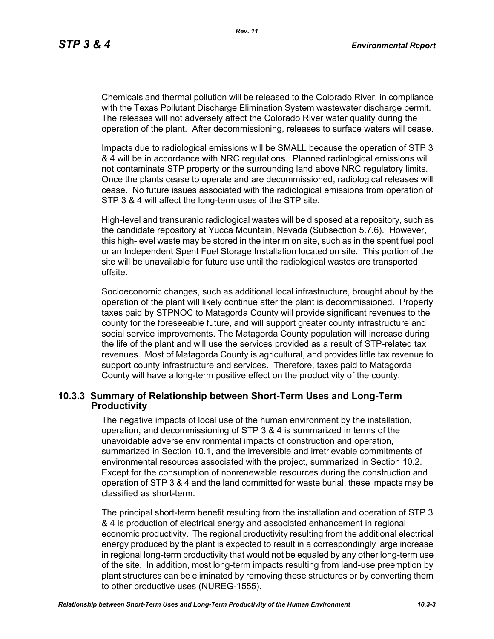Chemicals and thermal pollution will be released to the Colorado River, in compliance with the Texas Pollutant Discharge Elimination System wastewater discharge permit. The releases will not adversely affect the Colorado River water quality during the operation of the plant. After decommissioning, releases to surface waters will cease.

Impacts due to radiological emissions will be SMALL because the operation of STP 3 & 4 will be in accordance with NRC regulations. Planned radiological emissions will not contaminate STP property or the surrounding land above NRC regulatory limits. Once the plants cease to operate and are decommissioned, radiological releases will cease. No future issues associated with the radiological emissions from operation of STP 3 & 4 will affect the long-term uses of the STP site.

High-level and transuranic radiological wastes will be disposed at a repository, such as the candidate repository at Yucca Mountain, Nevada (Subsection 5.7.6). However, this high-level waste may be stored in the interim on site, such as in the spent fuel pool or an Independent Spent Fuel Storage Installation located on site. This portion of the site will be unavailable for future use until the radiological wastes are transported offsite.

Socioeconomic changes, such as additional local infrastructure, brought about by the operation of the plant will likely continue after the plant is decommissioned. Property taxes paid by STPNOC to Matagorda County will provide significant revenues to the county for the foreseeable future, and will support greater county infrastructure and social service improvements. The Matagorda County population will increase during the life of the plant and will use the services provided as a result of STP-related tax revenues. Most of Matagorda County is agricultural, and provides little tax revenue to support county infrastructure and services. Therefore, taxes paid to Matagorda County will have a long-term positive effect on the productivity of the county.

## **10.3.3 Summary of Relationship between Short-Term Uses and Long-Term Productivity**

The negative impacts of local use of the human environment by the installation, operation, and decommissioning of STP 3 & 4 is summarized in terms of the unavoidable adverse environmental impacts of construction and operation, summarized in Section 10.1, and the irreversible and irretrievable commitments of environmental resources associated with the project, summarized in Section 10.2. Except for the consumption of nonrenewable resources during the construction and operation of STP 3 & 4 and the land committed for waste burial, these impacts may be classified as short-term.

The principal short-term benefit resulting from the installation and operation of STP 3 & 4 is production of electrical energy and associated enhancement in regional economic productivity. The regional productivity resulting from the additional electrical energy produced by the plant is expected to result in a correspondingly large increase in regional long-term productivity that would not be equaled by any other long-term use of the site. In addition, most long-term impacts resulting from land-use preemption by plant structures can be eliminated by removing these structures or by converting them to other productive uses (NUREG-1555).